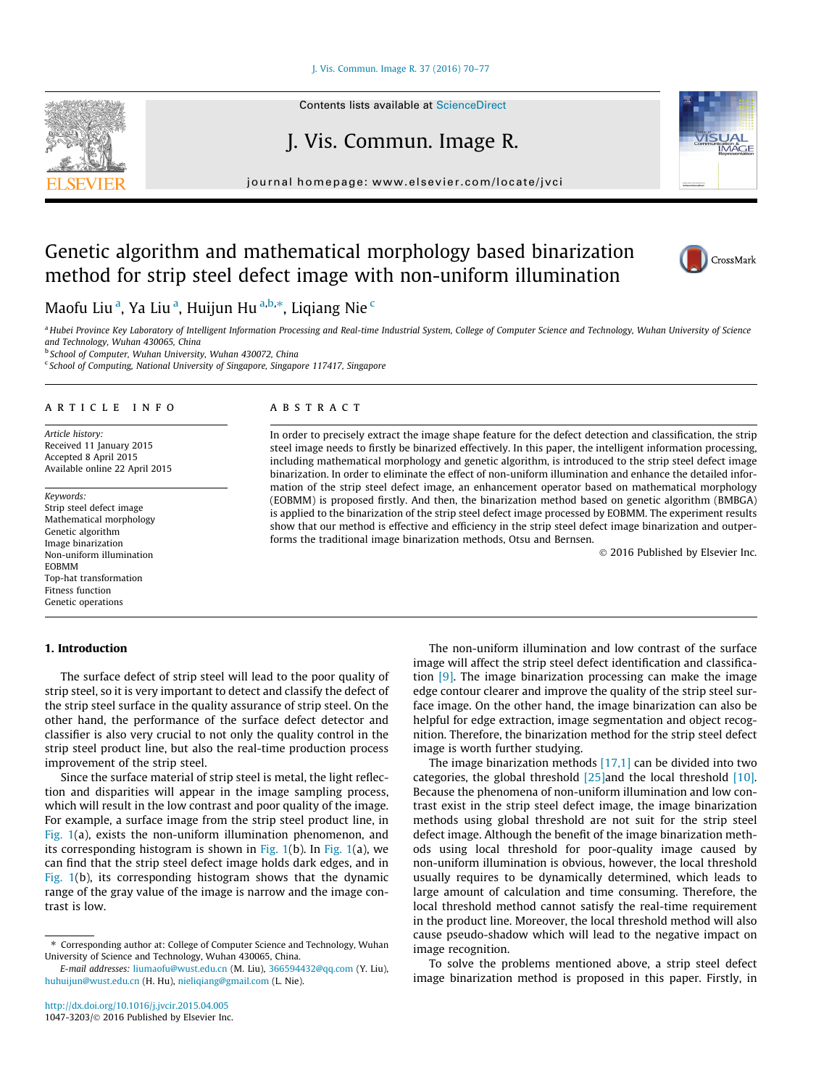[J. Vis. Commun. Image R. 37 \(2016\) 70–77](http://dx.doi.org/10.1016/j.jvcir.2015.04.005)

Contents lists available at [ScienceDirect](http://www.sciencedirect.com/science/journal/10473203)

# J. Vis. Commun. Image R.

journal homepage: [www.elsevier.com/locate/jvci](http://www.elsevier.com/locate/jvci)

## Genetic algorithm and mathematical morphology based binarization method for strip steel defect image with non-uniform illumination

Maofu Liu<sup>a</sup>, Ya Liu<sup>a</sup>, Huijun Hu<sup>a,b,</sup>\*, Liqiang Nie <sup>c</sup>

a Hubei Province Key Laboratory of Intelligent Information Processing and Real-time Industrial System, College of Computer Science and Technology, Wuhan University of Science and Technology, Wuhan 430065, China<br><sup>b</sup> School of Computer, Wuhan University, Wuhan 430072, China

<sup>c</sup> School of Computing, National University of Singapore, Singapore 117417, Singapore

#### article info

Article history: Received 11 January 2015 Accepted 8 April 2015 Available online 22 April 2015

Keywords: Strip steel defect image Mathematical morphology Genetic algorithm Image binarization Non-uniform illumination EOBMM Top-hat transformation Fitness function Genetic operations

#### 1. Introduction

The surface defect of strip steel will lead to the poor quality of strip steel, so it is very important to detect and classify the defect of the strip steel surface in the quality assurance of strip steel. On the other hand, the performance of the surface defect detector and classifier is also very crucial to not only the quality control in the strip steel product line, but also the real-time production process improvement of the strip steel.

Since the surface material of strip steel is metal, the light reflection and disparities will appear in the image sampling process, which will result in the low contrast and poor quality of the image. For example, a surface image from the strip steel product line, in [Fig. 1](#page-1-0)(a), exists the non-uniform illumination phenomenon, and its corresponding histogram is shown in Fig.  $1(b)$ . In Fig.  $1(a)$ , we can find that the strip steel defect image holds dark edges, and in [Fig. 1\(](#page-1-0)b), its corresponding histogram shows that the dynamic range of the gray value of the image is narrow and the image contrast is low.

## **ABSTRACT**

In order to precisely extract the image shape feature for the defect detection and classification, the strip steel image needs to firstly be binarized effectively. In this paper, the intelligent information processing, including mathematical morphology and genetic algorithm, is introduced to the strip steel defect image binarization. In order to eliminate the effect of non-uniform illumination and enhance the detailed information of the strip steel defect image, an enhancement operator based on mathematical morphology (EOBMM) is proposed firstly. And then, the binarization method based on genetic algorithm (BMBGA) is applied to the binarization of the strip steel defect image processed by EOBMM. The experiment results show that our method is effective and efficiency in the strip steel defect image binarization and outperforms the traditional image binarization methods, Otsu and Bernsen.

- 2016 Published by Elsevier Inc.

The non-uniform illumination and low contrast of the surface image will affect the strip steel defect identification and classification [\[9\]](#page--1-0). The image binarization processing can make the image edge contour clearer and improve the quality of the strip steel surface image. On the other hand, the image binarization can also be helpful for edge extraction, image segmentation and object recognition. Therefore, the binarization method for the strip steel defect image is worth further studying.

The image binarization methods  $[17,1]$  can be divided into two categories, the global threshold  $[25]$  and the local threshold  $[10]$ . Because the phenomena of non-uniform illumination and low contrast exist in the strip steel defect image, the image binarization methods using global threshold are not suit for the strip steel defect image. Although the benefit of the image binarization methods using local threshold for poor-quality image caused by non-uniform illumination is obvious, however, the local threshold usually requires to be dynamically determined, which leads to large amount of calculation and time consuming. Therefore, the local threshold method cannot satisfy the real-time requirement in the product line. Moreover, the local threshold method will also cause pseudo-shadow which will lead to the negative impact on image recognition.

To solve the problems mentioned above, a strip steel defect image binarization method is proposed in this paper. Firstly, in





CrossMark

<sup>⇑</sup> Corresponding author at: College of Computer Science and Technology, Wuhan University of Science and Technology, Wuhan 430065, China.

E-mail addresses: [liumaofu@wust.edu.cn](mailto:liumaofu@wust.edu.cn) (M. Liu), [366594432@qq.com](mailto:366594432@qq.com) (Y. Liu), [huhuijun@wust.edu.cn](mailto:huhuijun@wust.edu.cn) (H. Hu), [nieliqiang@gmail.com](mailto:nieliqiang@gmail.com) (L. Nie).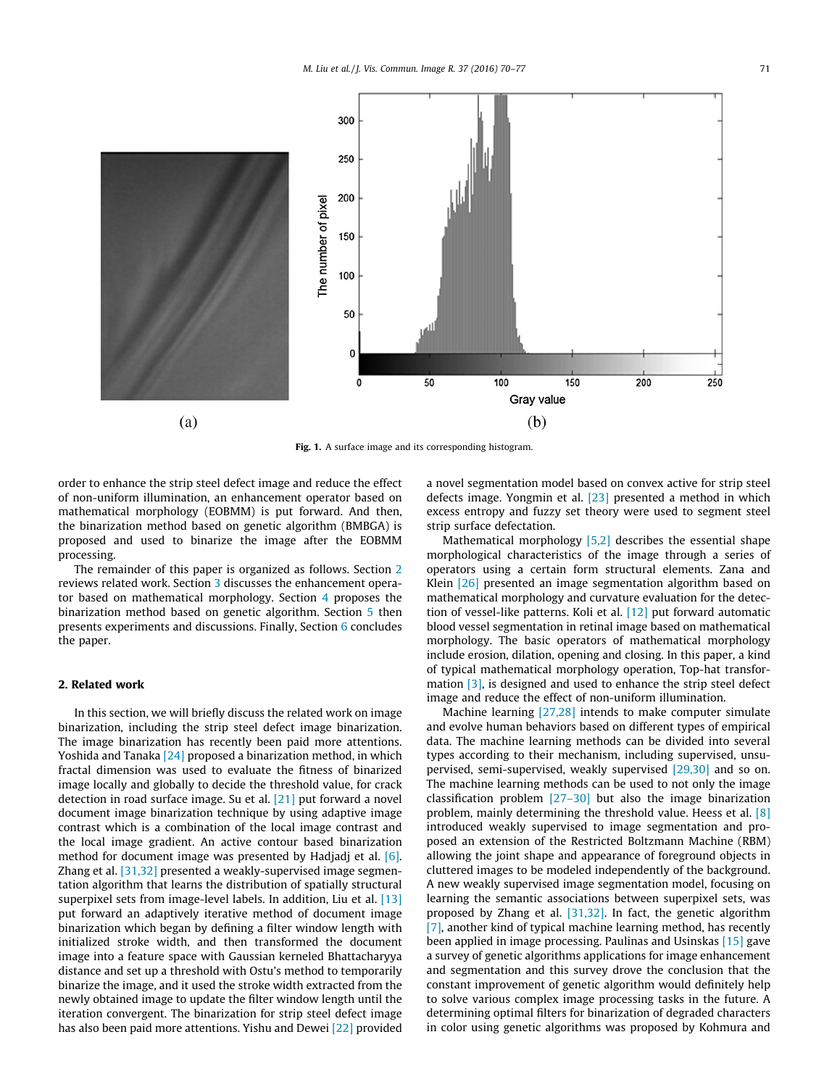<span id="page-1-0"></span>

Fig. 1. A surface image and its corresponding histogram.

order to enhance the strip steel defect image and reduce the effect of non-uniform illumination, an enhancement operator based on mathematical morphology (EOBMM) is put forward. And then, the binarization method based on genetic algorithm (BMBGA) is proposed and used to binarize the image after the EOBMM processing.

The remainder of this paper is organized as follows. Section 2 reviews related work. Section [3](#page--1-0) discusses the enhancement operator based on mathematical morphology. Section [4](#page--1-0) proposes the binarization method based on genetic algorithm. Section [5](#page--1-0) then presents experiments and discussions. Finally, Section [6](#page--1-0) concludes the paper.

### 2. Related work

In this section, we will briefly discuss the related work on image binarization, including the strip steel defect image binarization. The image binarization has recently been paid more attentions. Yoshida and Tanaka [\[24\]](#page--1-0) proposed a binarization method, in which fractal dimension was used to evaluate the fitness of binarized image locally and globally to decide the threshold value, for crack detection in road surface image. Su et al. [\[21\]](#page--1-0) put forward a novel document image binarization technique by using adaptive image contrast which is a combination of the local image contrast and the local image gradient. An active contour based binarization method for document image was presented by Hadjadj et al. [\[6\].](#page--1-0) Zhang et al. [\[31,32\]](#page--1-0) presented a weakly-supervised image segmentation algorithm that learns the distribution of spatially structural superpixel sets from image-level labels. In addition, Liu et al. [\[13\]](#page--1-0) put forward an adaptively iterative method of document image binarization which began by defining a filter window length with initialized stroke width, and then transformed the document image into a feature space with Gaussian kerneled Bhattacharyya distance and set up a threshold with Ostu's method to temporarily binarize the image, and it used the stroke width extracted from the newly obtained image to update the filter window length until the iteration convergent. The binarization for strip steel defect image has also been paid more attentions. Yishu and Dewei [\[22\]](#page--1-0) provided a novel segmentation model based on convex active for strip steel defects image. Yongmin et al. [\[23\]](#page--1-0) presented a method in which excess entropy and fuzzy set theory were used to segment steel strip surface defectation.

Mathematical morphology [\[5,2\]](#page--1-0) describes the essential shape morphological characteristics of the image through a series of operators using a certain form structural elements. Zana and Klein [\[26\]](#page--1-0) presented an image segmentation algorithm based on mathematical morphology and curvature evaluation for the detection of vessel-like patterns. Koli et al. [\[12\]](#page--1-0) put forward automatic blood vessel segmentation in retinal image based on mathematical morphology. The basic operators of mathematical morphology include erosion, dilation, opening and closing. In this paper, a kind of typical mathematical morphology operation, Top-hat transformation [\[3\],](#page--1-0) is designed and used to enhance the strip steel defect image and reduce the effect of non-uniform illumination.

Machine learning [\[27,28\]](#page--1-0) intends to make computer simulate and evolve human behaviors based on different types of empirical data. The machine learning methods can be divided into several types according to their mechanism, including supervised, unsupervised, semi-supervised, weakly supervised [\[29,30\]](#page--1-0) and so on. The machine learning methods can be used to not only the image classification problem [\[27–30\]](#page--1-0) but also the image binarization problem, mainly determining the threshold value. Heess et al. [\[8\]](#page--1-0) introduced weakly supervised to image segmentation and proposed an extension of the Restricted Boltzmann Machine (RBM) allowing the joint shape and appearance of foreground objects in cluttered images to be modeled independently of the background. A new weakly supervised image segmentation model, focusing on learning the semantic associations between superpixel sets, was proposed by Zhang et al. [\[31,32\]](#page--1-0). In fact, the genetic algorithm [\[7\]](#page--1-0), another kind of typical machine learning method, has recently been applied in image processing. Paulinas and Usinskas [\[15\]](#page--1-0) gave a survey of genetic algorithms applications for image enhancement and segmentation and this survey drove the conclusion that the constant improvement of genetic algorithm would definitely help to solve various complex image processing tasks in the future. A determining optimal filters for binarization of degraded characters in color using genetic algorithms was proposed by Kohmura and